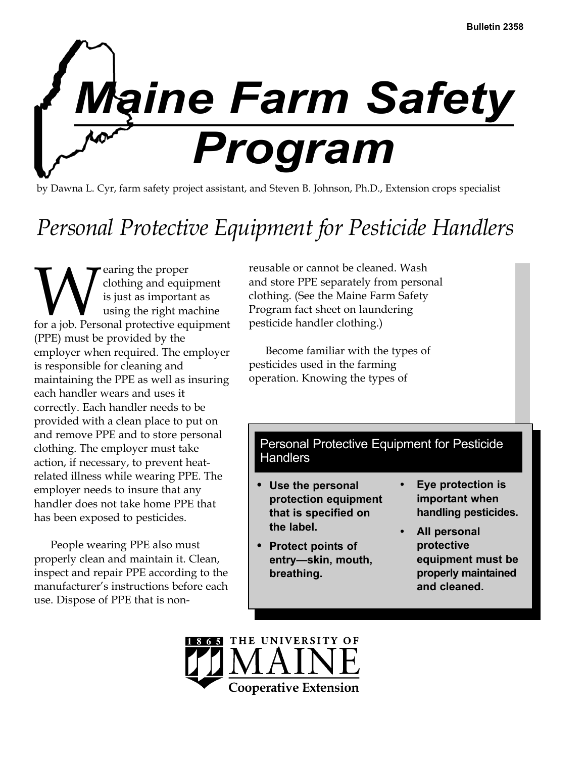

by Dawna L. Cyr, farm safety project assistant, and Steven B. Johnson, Ph.D., Extension crops specialist

# *Personal Protective Equipment for Pesticide Handlers*

**WE** earing the proper<br>is just as important as<br>for a job. Personal protective equipment clothing and equipment is just as important as using the right machine (PPE) must be provided by the employer when required. The employer is responsible for cleaning and maintaining the PPE as well as insuring each handler wears and uses it correctly. Each handler needs to be provided with a clean place to put on and remove PPE and to store personal clothing. The employer must take action, if necessary, to prevent heatrelated illness while wearing PPE. The employer needs to insure that any handler does not take home PPE that has been exposed to pesticides.

People wearing PPE also must properly clean and maintain it. Clean, inspect and repair PPE according to the manufacturer's instructions before each use. Dispose of PPE that is non-

reusable or cannot be cleaned. Wash and store PPE separately from personal clothing. (See the Maine Farm Safety Program fact sheet on laundering pesticide handler clothing.)

Become familiar with the types of pesticides used in the farming operation. Knowing the types of

# Personal Protective Equipment for Pesticide **Handlers**

- **Use the personal protection equipment that is specified on the label.**
- **Protect points of entry—skin, mouth, breathing.**
- **Eye protection is important when handling pesticides.**
- **All personal protective equipment must be properly maintained and cleaned.**

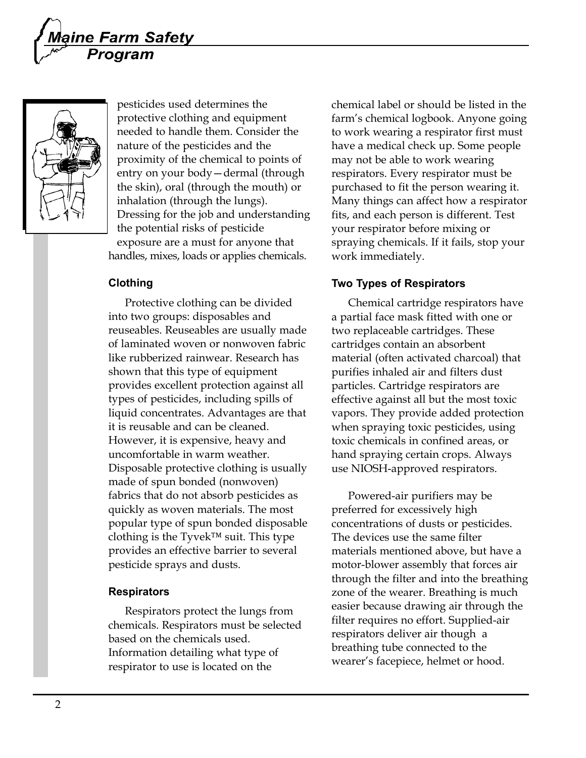



pesticides used determines the protective clothing and equipment needed to handle them. Consider the nature of the pesticides and the proximity of the chemical to points of entry on your body—dermal (through the skin), oral (through the mouth) or inhalation (through the lungs). Dressing for the job and understanding the potential risks of pesticide exposure are a must for anyone that handles, mixes, loads or applies chemicals.

### **Clothing**

Protective clothing can be divided into two groups: disposables and reuseables. Reuseables are usually made of laminated woven or nonwoven fabric like rubberized rainwear. Research has shown that this type of equipment provides excellent protection against all types of pesticides, including spills of liquid concentrates. Advantages are that it is reusable and can be cleaned. However, it is expensive, heavy and uncomfortable in warm weather. Disposable protective clothing is usually made of spun bonded (nonwoven) fabrics that do not absorb pesticides as quickly as woven materials. The most popular type of spun bonded disposable clothing is the Tyvek™ suit. This type provides an effective barrier to several pesticide sprays and dusts.

#### **Respirators**

Respirators protect the lungs from chemicals. Respirators must be selected based on the chemicals used. Information detailing what type of respirator to use is located on the

chemical label or should be listed in the farm's chemical logbook. Anyone going to work wearing a respirator first must have a medical check up. Some people may not be able to work wearing respirators. Every respirator must be purchased to fit the person wearing it. Many things can affect how a respirator fits, and each person is different. Test your respirator before mixing or spraying chemicals. If it fails, stop your work immediately.

#### **Two Types of Respirators**

Chemical cartridge respirators have a partial face mask fitted with one or two replaceable cartridges. These cartridges contain an absorbent material (often activated charcoal) that purifies inhaled air and filters dust particles. Cartridge respirators are effective against all but the most toxic vapors. They provide added protection when spraying toxic pesticides, using toxic chemicals in confined areas, or hand spraying certain crops. Always use NIOSH-approved respirators.

Powered-air purifiers may be preferred for excessively high concentrations of dusts or pesticides. The devices use the same filter materials mentioned above, but have a motor-blower assembly that forces air through the filter and into the breathing zone of the wearer. Breathing is much easier because drawing air through the filter requires no effort. Supplied-air respirators deliver air though a breathing tube connected to the wearer's facepiece, helmet or hood.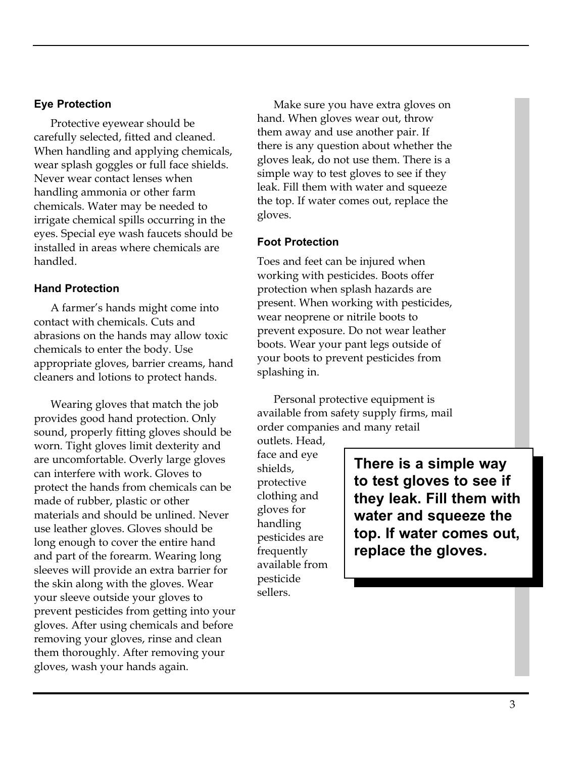## **Eye Protection**

Protective eyewear should be carefully selected, fitted and cleaned. When handling and applying chemicals, wear splash goggles or full face shields. Never wear contact lenses when handling ammonia or other farm chemicals. Water may be needed to irrigate chemical spills occurring in the eyes. Special eye wash faucets should be installed in areas where chemicals are handled.

# **Hand Protection**

A farmer's hands might come into contact with chemicals. Cuts and abrasions on the hands may allow toxic chemicals to enter the body. Use appropriate gloves, barrier creams, hand cleaners and lotions to protect hands.

Wearing gloves that match the job provides good hand protection. Only sound, properly fitting gloves should be worn. Tight gloves limit dexterity and are uncomfortable. Overly large gloves can interfere with work. Gloves to protect the hands from chemicals can be made of rubber, plastic or other materials and should be unlined. Never use leather gloves. Gloves should be long enough to cover the entire hand and part of the forearm. Wearing long sleeves will provide an extra barrier for the skin along with the gloves. Wear your sleeve outside your gloves to prevent pesticides from getting into your gloves. After using chemicals and before removing your gloves, rinse and clean them thoroughly. After removing your gloves, wash your hands again.

Make sure you have extra gloves on hand. When gloves wear out, throw them away and use another pair. If there is any question about whether the gloves leak, do not use them. There is a simple way to test gloves to see if they leak. Fill them with water and squeeze the top. If water comes out, replace the gloves.

# **Foot Protection**

Toes and feet can be injured when working with pesticides. Boots offer protection when splash hazards are present. When working with pesticides, wear neoprene or nitrile boots to prevent exposure. Do not wear leather boots. Wear your pant legs outside of your boots to prevent pesticides from splashing in.

Personal protective equipment is available from safety supply firms, mail order companies and many retail

outlets. Head, face and eye shields, protective clothing and gloves for handling pesticides are frequently available from pesticide sellers.

**There is a simple way to test gloves to see if they leak. Fill them with water and squeeze the top. If water comes out, replace the gloves.**